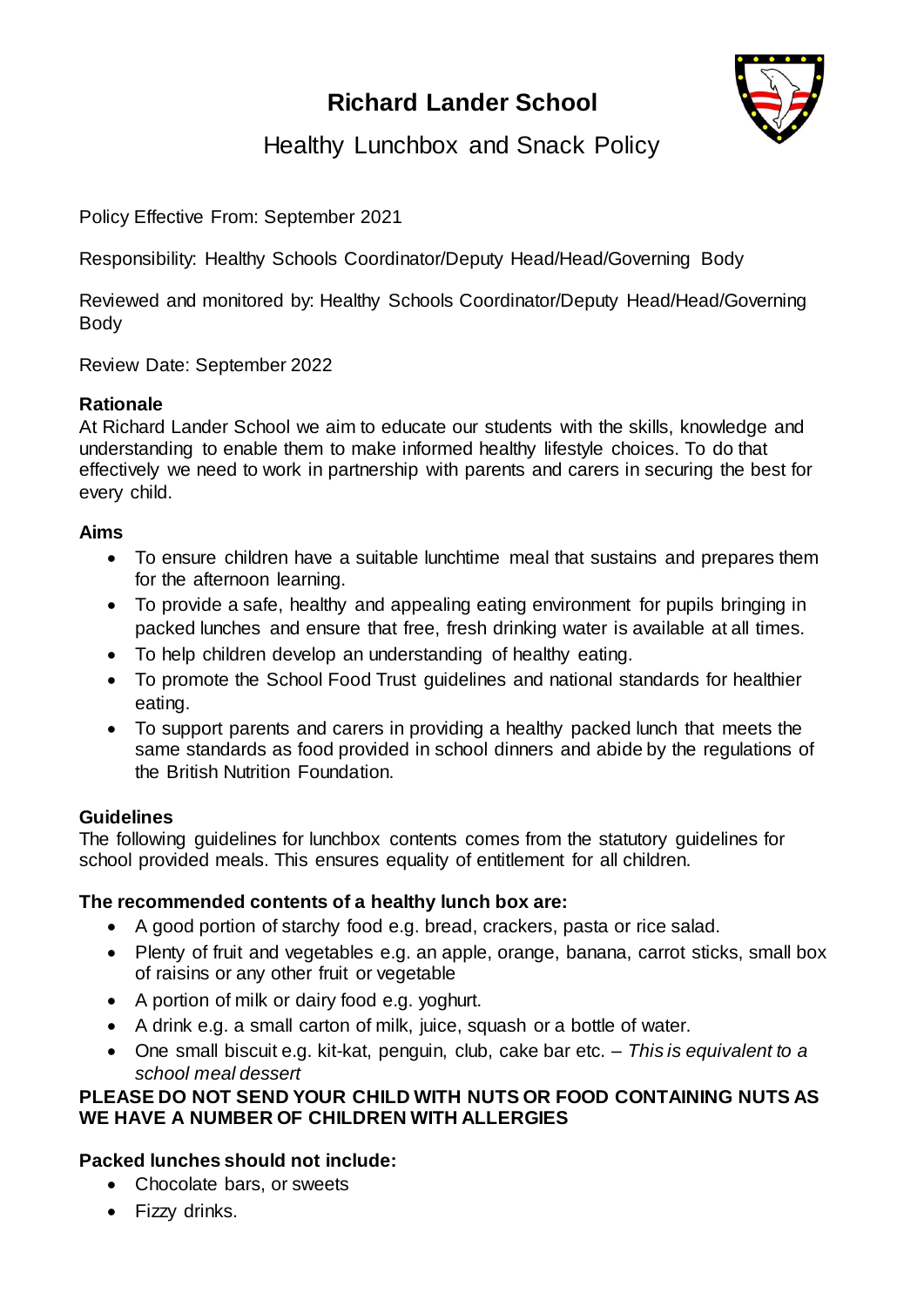# **Richard Lander School**



Healthy Lunchbox and Snack Policy

Policy Effective From: September 2021

Responsibility: Healthy Schools Coordinator/Deputy Head/Head/Governing Body

Reviewed and monitored by: Healthy Schools Coordinator/Deputy Head/Head/Governing Body

Review Date: September 2022

## **Rationale**

At Richard Lander School we aim to educate our students with the skills, knowledge and understanding to enable them to make informed healthy lifestyle choices. To do that effectively we need to work in partnership with parents and carers in securing the best for every child.

#### **Aims**

- To ensure children have a suitable lunchtime meal that sustains and prepares them for the afternoon learning.
- To provide a safe, healthy and appealing eating environment for pupils bringing in packed lunches and ensure that free, fresh drinking water is available at all times.
- To help children develop an understanding of healthy eating.
- To promote the School Food Trust guidelines and national standards for healthier eating.
- To support parents and carers in providing a healthy packed lunch that meets the same standards as food provided in school dinners and abide by the regulations of the British Nutrition Foundation.

#### **Guidelines**

The following guidelines for lunchbox contents comes from the statutory guidelines for school provided meals. This ensures equality of entitlement for all children.

#### **The recommended contents of a healthy lunch box are:**

- A good portion of starchy food e.g. bread, crackers, pasta or rice salad.
- Plenty of fruit and vegetables e.g. an apple, orange, banana, carrot sticks, small box of raisins or any other fruit or vegetable
- A portion of milk or dairy food e.g. yoghurt.
- A drink e.g. a small carton of milk, juice, squash or a bottle of water.
- One small biscuit e.g. kit-kat, penguin, club, cake bar etc. *This is equivalent to a school meal dessert*

#### **PLEASE DO NOT SEND YOUR CHILD WITH NUTS OR FOOD CONTAINING NUTS AS WE HAVE A NUMBER OF CHILDREN WITH ALLERGIES**

## **Packed lunches should not include:**

- Chocolate bars, or sweets
- Fizzy drinks.